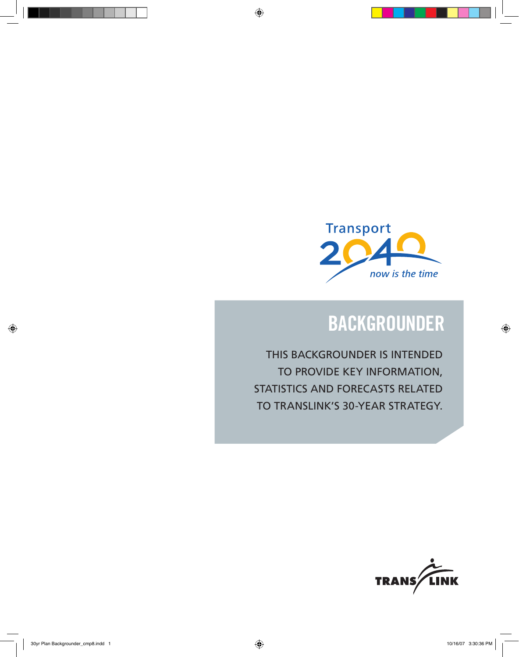

# **backgrounder**

This backgrounder is intended to provide key information, statistics and forecasts related to Translink's 30-year strategy.

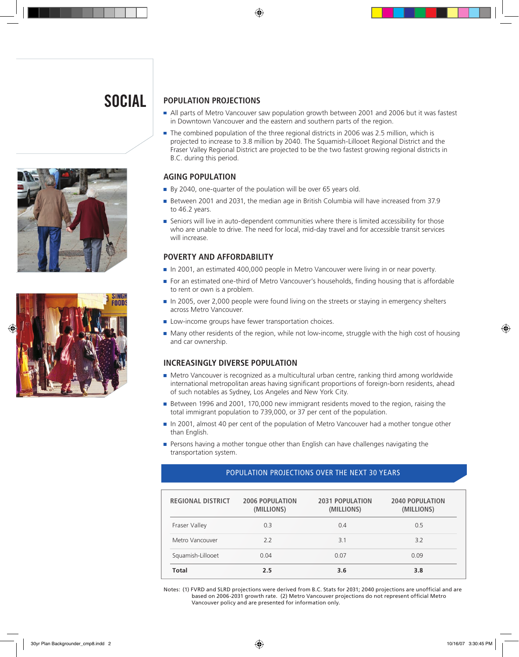# **SOCIAL**





## **POPULATION PROJECTIONS**

- I All parts of Metro Vancouver saw population growth between 2001 and 2006 but it was fastest in Downtown Vancouver and the eastern and southern parts of the region.
- The combined population of the three regional districts in 2006 was 2.5 million, which is projected to increase to 3.8 million by 2040. The Squamish-Lillooet Regional District and the Fraser Valley Regional District are projected to be the two fastest growing regional districts in B.C. during this period.

## **AGING POPULATION**

- By 2040, one-quarter of the poulation will be over 65 years old.
- Between 2001 and 2031, the median age in British Columbia will have increased from 37.9 to 46.2 years.
- **Seniors will live in auto-dependent communities where there is limited accessibility for those** who are unable to drive. The need for local, mid-day travel and for accessible transit services will increase.

## **POVERTY AND AFFORDABILITY**

- In 2001, an estimated 400,000 people in Metro Vancouver were living in or near poverty.
- For an estimated one-third of Metro Vancouver's households, finding housing that is affordable to rent or own is a problem.
- In 2005, over 2,000 people were found living on the streets or staying in emergency shelters across Metro Vancouver.
- **Low-income groups have fewer transportation choices.**
- Many other residents of the region, while not low-income, struggle with the high cost of housing and car ownership.

## **INCREASINGLY DIVERSE POPULATION**

- Metro Vancouver is recognized as a multicultural urban centre, ranking third among worldwide international metropolitan areas having significant proportions of foreign-born residents, ahead of such notables as Sydney, Los Angeles and New York City.
- Between 1996 and 2001, 170,000 new immigrant residents moved to the region, raising the total immigrant population to 739,000, or 37 per cent of the population.
- In 2001, almost 40 per cent of the population of Metro Vancouver had a mother tongue other than English.
- **Persons having a mother tongue other than English can have challenges navigating the** transportation system.

## POPULATION PROJECTIONS OVER THE NEXT 30 YEARS

| <b>REGIONAL DISTRICT</b> | <b>2006 POPULATION</b><br>(MILLIONS) | <b>2031 POPULATION</b><br>(MILLIONS) | <b>2040 POPULATION</b><br>(MILLIONS) |
|--------------------------|--------------------------------------|--------------------------------------|--------------------------------------|
| Fraser Valley            | 0.3                                  | 0.4                                  | 0.5                                  |
| Metro Vancouver          | 22                                   | 3.1                                  | 3.2                                  |
| Squamish-Lillooet        | 0.04                                 | 0.07                                 | 0.09                                 |
| Total                    | 2.5                                  | 3.6                                  | 3.8                                  |

Notes: (1) FVRD and SLRD projections were derived from B.C. Stats for 2031; 2040 projections are unofficial and are based on 2006-2031 growth rate. (2) Metro Vancouver projections do not represent official Metro Vancouver policy and are presented for information only.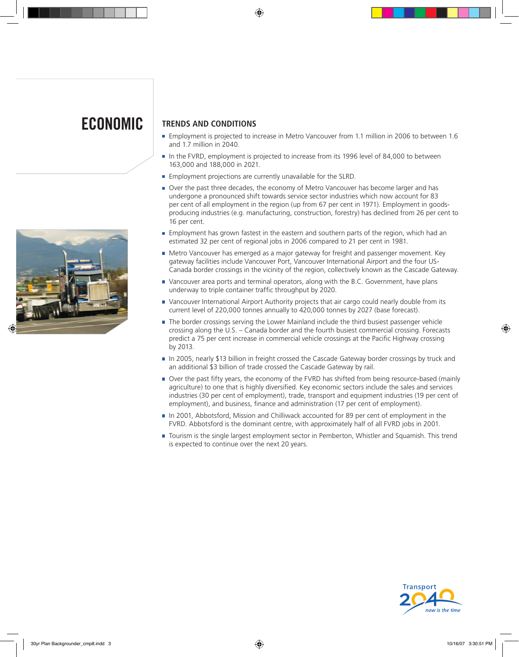# **ECONOMIC**



## **TRENDS AND CONDITIONS**

- **Employment is projected to increase in Metro Vancouver from 1.1 million in 2006 to between 1.6** and 1.7 million in 2040.
- In the FVRD, employment is projected to increase from its 1996 level of 84,000 to between 163,000 and 188,000 in 2021.
- **Employment projections are currently unavailable for the SLRD.**
- Over the past three decades, the economy of Metro Vancouver has become larger and has undergone a pronounced shift towards service sector industries which now account for 83 per cent of all employment in the region (up from 67 per cent in 1971). Employment in goodsproducing industries (e.g. manufacturing, construction, forestry) has declined from 26 per cent to 16 per cent.
- **Employment has grown fastest in the eastern and southern parts of the region, which had an** estimated 32 per cent of regional jobs in 2006 compared to 21 per cent in 1981.
- Metro Vancouver has emerged as a major gateway for freight and passenger movement. Key gateway facilities include Vancouver Port, Vancouver International Airport and the four US-Canada border crossings in the vicinity of the region, collectively known as the Cascade Gateway.
- Vancouver area ports and terminal operators, along with the B.C. Government, have plans underway to triple container traffic throughput by 2020.
- Vancouver International Airport Authority projects that air cargo could nearly double from its current level of 220,000 tonnes annually to 420,000 tonnes by 2027 (base forecast).
- The border crossings serving the Lower Mainland include the third busiest passenger vehicle crossing along the U.S. – Canada border and the fourth busiest commercial crossing. Forecasts predict a 75 per cent increase in commercial vehicle crossings at the Pacific Highway crossing by 2013.
- In 2005, nearly \$13 billion in freight crossed the Cascade Gateway border crossings by truck and an additional \$3 billion of trade crossed the Cascade Gateway by rail.
- Over the past fifty years, the economy of the FVRD has shifted from being resource-based (mainly agriculture) to one that is highly diversified. Key economic sectors include the sales and services industries (30 per cent of employment), trade, transport and equipment industries (19 per cent of employment), and business, finance and administration (17 per cent of employment).
- In 2001, Abbotsford, Mission and Chilliwack accounted for 89 per cent of employment in the FVRD. Abbotsford is the dominant centre, with approximately half of all FVRD jobs in 2001.
- Tourism is the single largest employment sector in Pemberton, Whistler and Squamish. This trend is expected to continue over the next 20 years.

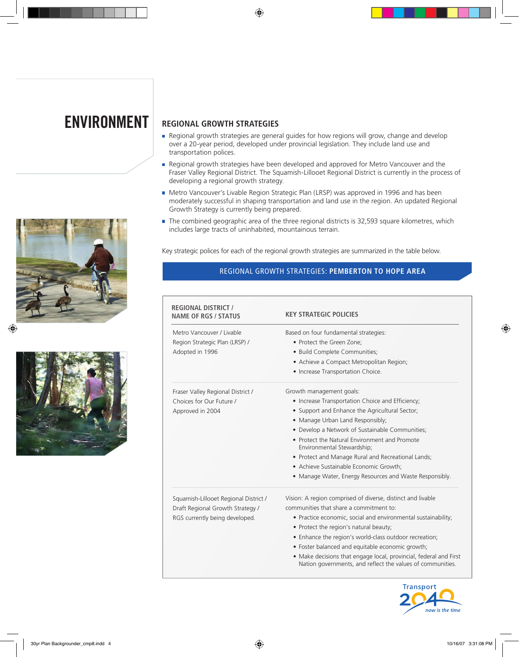



## **ENVIRONMENT REGIONAL GROWTH STRATEGIES**

- Regional growth strategies are general guides for how regions will grow, change and develop over a 20-year period, developed under provincial legislation. They include land use and transportation polices.
- Regional growth strategies have been developed and approved for Metro Vancouver and the Fraser Valley Regional District. The Squamish-Lillooet Regional District is currently in the process of developing a regional growth strategy.
- Metro Vancouver's Livable Region Strategic Plan (LRSP) was approved in 1996 and has been moderately successful in shaping transportation and land use in the region. An updated Regional Growth Strategy is currently being prepared.
- The combined geographic area of the three regional districts is 32,593 square kilometres, which includes large tracts of uninhabited, mountainous terrain.

Key strategic polices for each of the regional growth strategies are summarized in the table below.

### REGIONAL GROWTH STRATEGIES: **PEMBERTON TO HOPE AREA**

| <b>REGIONAL DISTRICT /</b><br><b>NAME OF RGS / STATUS</b> | <b>KEY STRATEGIC POLICIES</b>                                                                                                   |  |  |
|-----------------------------------------------------------|---------------------------------------------------------------------------------------------------------------------------------|--|--|
| Metro Vancouver / Livable                                 | Based on four fundamental strategies:<br>• Protect the Green Zone;<br>· Build Complete Communities;                             |  |  |
| Region Strategic Plan (LRSP) /                            |                                                                                                                                 |  |  |
| Adopted in 1996                                           |                                                                                                                                 |  |  |
|                                                           | • Achieve a Compact Metropolitan Region;                                                                                        |  |  |
|                                                           | • Increase Transportation Choice.                                                                                               |  |  |
| Fraser Valley Regional District /                         | Growth management goals:                                                                                                        |  |  |
| Choices for Our Future /                                  | • Increase Transportation Choice and Efficiency;                                                                                |  |  |
| Approved in 2004                                          | • Support and Enhance the Agricultural Sector;                                                                                  |  |  |
|                                                           | • Manage Urban Land Responsibly;                                                                                                |  |  |
|                                                           | • Develop a Network of Sustainable Communities;                                                                                 |  |  |
|                                                           | • Protect the Natural Environment and Promote<br>Environmental Stewardship;                                                     |  |  |
|                                                           | • Protect and Manage Rural and Recreational Lands;                                                                              |  |  |
|                                                           | • Achieve Sustainable Economic Growth;                                                                                          |  |  |
|                                                           | • Manage Water, Energy Resources and Waste Responsibly.                                                                         |  |  |
| Squamish-Lillooet Regional District /                     | Vision: A region comprised of diverse, distinct and livable                                                                     |  |  |
| Draft Regional Growth Strategy /                          | communities that share a commitment to:                                                                                         |  |  |
| RGS currently being developed.                            | • Practice economic, social and environmental sustainability;                                                                   |  |  |
|                                                           | • Protect the region's natural beauty;                                                                                          |  |  |
|                                                           | • Enhance the region's world-class outdoor recreation;                                                                          |  |  |
|                                                           | • Foster balanced and equitable economic growth;                                                                                |  |  |
|                                                           | • Make decisions that engage local, provincial, federal and First<br>Nation governments, and reflect the values of communities. |  |  |

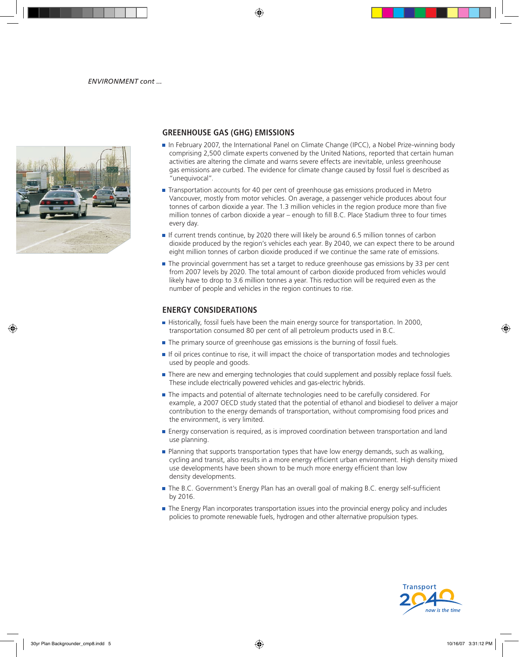

## **GREENHOUSE GAS (GHG) EMISSIONS**

- In February 2007, the International Panel on Climate Change (IPCC), a Nobel Prize-winning body comprising 2,500 climate experts convened by the United Nations, reported that certain human activities are altering the climate and warns severe effects are inevitable, unless greenhouse gas emissions are curbed. The evidence for climate change caused by fossil fuel is described as "unequivocal".
- Transportation accounts for 40 per cent of greenhouse gas emissions produced in Metro Vancouver, mostly from motor vehicles. On average, a passenger vehicle produces about four tonnes of carbon dioxide a year. The 1.3 million vehicles in the region produce more than five million tonnes of carbon dioxide a year – enough to fill B.C. Place Stadium three to four times every day.
- If current trends continue, by 2020 there will likely be around 6.5 million tonnes of carbon dioxide produced by the region's vehicles each year. By 2040, we can expect there to be around eight million tonnes of carbon dioxide produced if we continue the same rate of emissions.
- The provincial government has set a target to reduce greenhouse gas emissions by 33 per cent from 2007 levels by 2020. The total amount of carbon dioxide produced from vehicles would likely have to drop to 3.6 million tonnes a year. This reduction will be required even as the number of people and vehicles in the region continues to rise.

## **ENERGY CONSIDERATIONS**

- Historically, fossil fuels have been the main energy source for transportation. In 2000, transportation consumed 80 per cent of all petroleum products used in B.C.
- The primary source of greenhouse gas emissions is the burning of fossil fuels.
- **If oil prices continue to rise, it will impact the choice of transportation modes and technologies** used by people and goods.
- **There are new and emerging technologies that could supplement and possibly replace fossil fuels.** These include electrically powered vehicles and gas-electric hybrids.
- The impacts and potential of alternate technologies need to be carefully considered. For example, a 2007 OECD study stated that the potential of ethanol and biodiesel to deliver a major contribution to the energy demands of transportation, without compromising food prices and the environment, is very limited.
- **Energy conservation is required, as is improved coordination between transportation and land** use planning.
- Planning that supports transportation types that have low energy demands, such as walking, cycling and transit, also results in a more energy efficient urban environment. High density mixed use developments have been shown to be much more energy efficient than low density developments.
- The B.C. Government's Energy Plan has an overall goal of making B.C. energy self-sufficient by 2016.
- **The Energy Plan incorporates transportation issues into the provincial energy policy and includes** policies to promote renewable fuels, hydrogen and other alternative propulsion types.

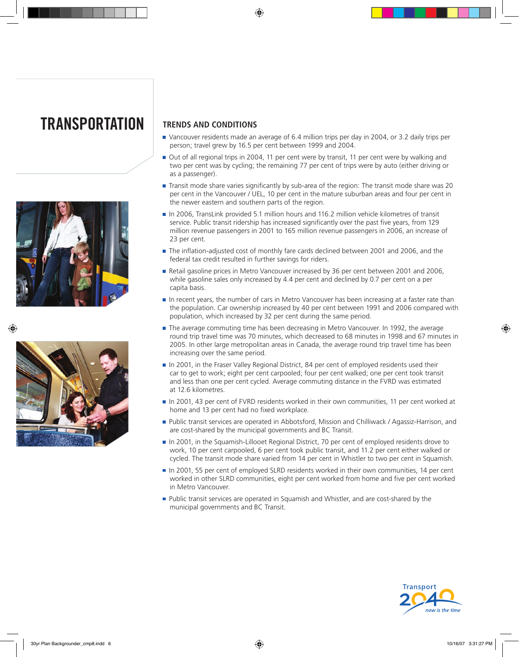# **transportation**





## **TRENDS AND CONDITIONS**

- Vancouver residents made an average of 6.4 million trips per day in 2004, or 3.2 daily trips per person; travel grew by 16.5 per cent between 1999 and 2004.
- Out of all regional trips in 2004, 11 per cent were by transit, 11 per cent were by walking and two per cent was by cycling; the remaining 77 per cent of trips were by auto (either driving or as a passenger).
- Transit mode share varies significantly by sub-area of the region: The transit mode share was 20 per cent in the Vancouver / UEL, 10 per cent in the mature suburban areas and four per cent in the newer eastern and southern parts of the region.
- In 2006, TransLink provided 5.1 million hours and 116.2 million vehicle kilometres of transit service. Public transit ridership has increased significantly over the past five years, from 129 million revenue passengers in 2001 to 165 million revenue passengers in 2006, an increase of 23 per cent.
- The inflation-adjusted cost of monthly fare cards declined between 2001 and 2006, and the federal tax credit resulted in further savings for riders.
- Retail gasoline prices in Metro Vancouver increased by 36 per cent between 2001 and 2006, while gasoline sales only increased by 4.4 per cent and declined by 0.7 per cent on a per capita basis.
- In recent years, the number of cars in Metro Vancouver has been increasing at a faster rate than the population. Car ownership increased by 40 per cent between 1991 and 2006 compared with population, which increased by 32 per cent during the same period.
- The average commuting time has been decreasing in Metro Vancouver. In 1992, the average round trip travel time was 70 minutes, which decreased to 68 minutes in 1998 and 67 minutes in 2005. In other large metropolitan areas in Canada, the average round trip travel time has been increasing over the same period.
- In 2001, in the Fraser Valley Regional District, 84 per cent of employed residents used their car to get to work; eight per cent carpooled; four per cent walked; one per cent took transit and less than one per cent cycled. Average commuting distance in the FVRD was estimated at 12.6 kilometres.
- In 2001, 43 per cent of FVRD residents worked in their own communities, 11 per cent worked at home and 13 per cent had no fixed workplace.
- Public transit services are operated in Abbotsford, Mission and Chilliwack / Agassiz-Harrison, and are cost-shared by the municipal governments and BC Transit.
- In 2001, in the Squamish-Lillooet Regional District, 70 per cent of employed residents drove to work, 10 per cent carpooled, 6 per cent took public transit, and 11.2 per cent either walked or cycled. The transit mode share varied from 14 per cent in Whistler to two per cent in Squamish.
- In 2001, 55 per cent of employed SLRD residents worked in their own communities, 14 per cent worked in other SLRD communities, eight per cent worked from home and five per cent worked in Metro Vancouver.
- **Public transit services are operated in Squamish and Whistler, and are cost-shared by the** municipal governments and BC Transit.

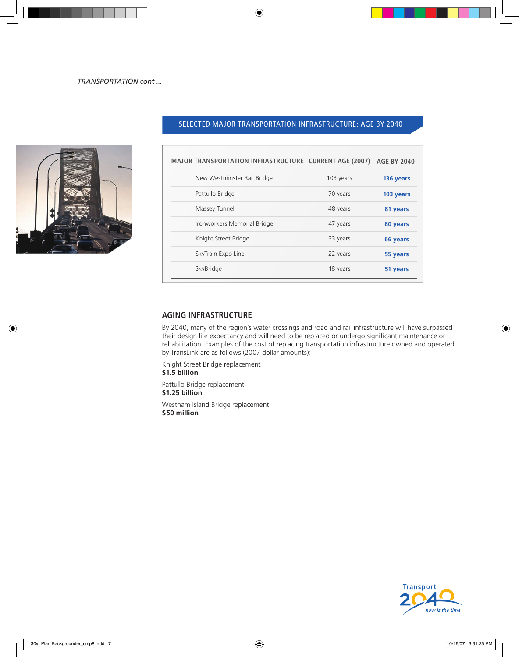

## SELECTED MAJOR TRANSPORTATION INFRASTRUCTURE: AGE BY 2040

| <b>MAJOR TRANSPORTATION INFRASTRUCTURE CURRENT AGE (2007)</b> |           | <b>AGE BY 2040</b> |
|---------------------------------------------------------------|-----------|--------------------|
| New Westminster Rail Bridge                                   | 103 years | 136 years          |
| Pattullo Bridge                                               | 70 years  | 103 years          |
| Massey Tunnel                                                 | 48 years  | 81 years           |
| Ironworkers Memorial Bridge                                   | 47 years  | 80 years           |
| Knight Street Bridge                                          | 33 years  | 66 years           |
| SkyTrain Expo Line                                            | 22 years  | 55 years           |
| SkyBridge                                                     | 18 years  | 51 years           |

### **AGING INFRASTRUCTURE**

By 2040, many of the region's water crossings and road and rail infrastructure will have surpassed their design life expectancy and will need to be replaced or undergo significant maintenance or rehabilitation. Examples of the cost of replacing transportation infrastructure owned and operated by TransLink are as follows (2007 dollar amounts):

Knight Street Bridge replacement

**\$1.5 billion**

Pattullo Bridge replacement **\$1.25 billion**

Westham Island Bridge replacement **\$50 million**